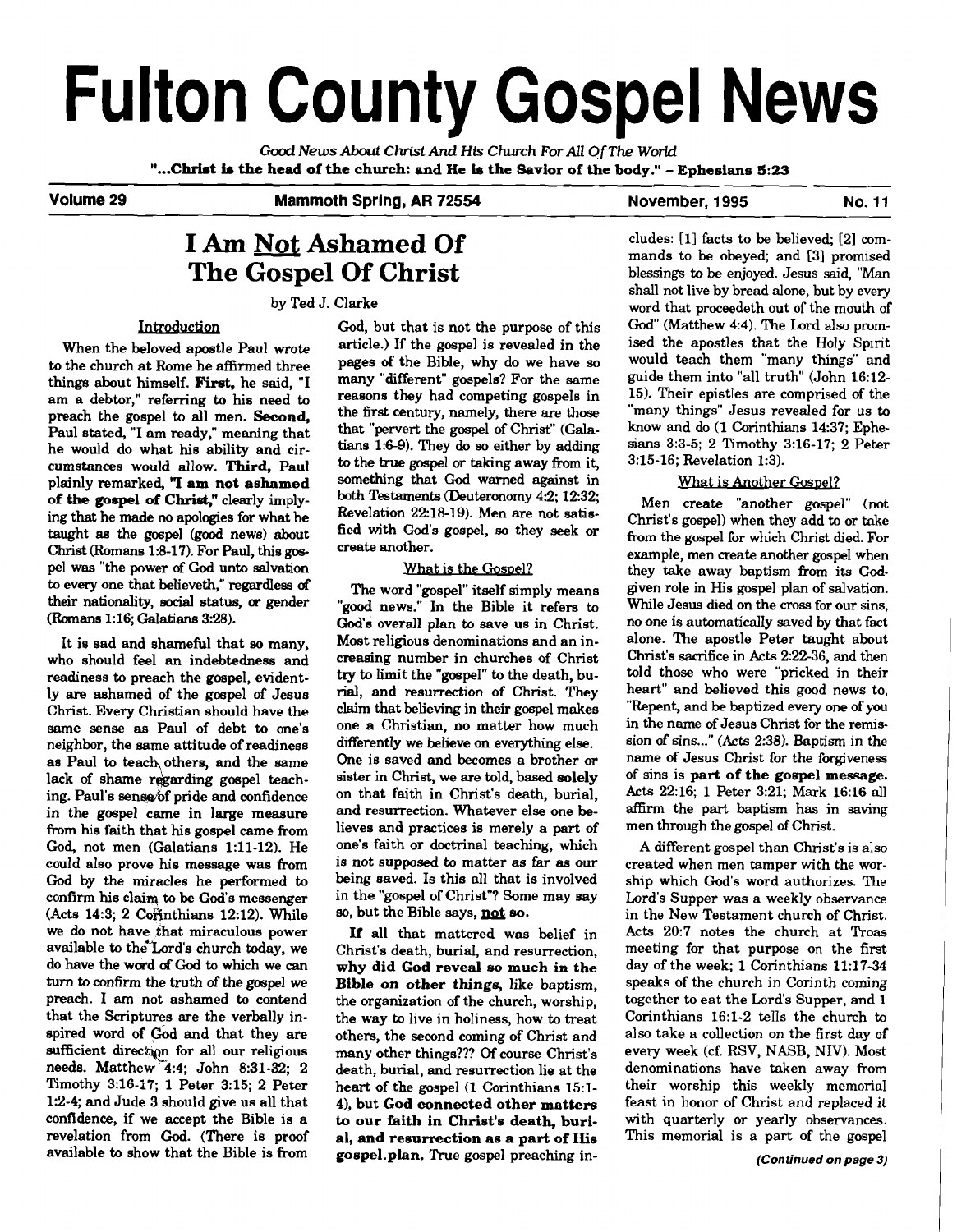# **Fulton County Gospel News**

**Good** *News* **About** *Christ* **And His** *Church For* **All** *OjThe World*  **"...Christ is the head of the church: and He io the Savior of the body."** - **Ephesians 5:23**  - ~- - - -

**Volume 29 Mammoth Sprlng, AR 72554** 

**November, 1995 No. 11** 

# **I Am Not Ashamed Of The Gospel Of Christ**

by Ted J. Clarke

to the church at Rome he affirmed three things about himself. **First**, he said, "I am a debtor," referring to his need to reasons they had competing gospels in preach the gospel to all men Second the first century, namely, there are those preach the gospel to all men. **Second,** the first century, there are **those**  Paul stated, "I am ready," meaning that that "pervert the gospel of Christ" (Gala-<br>he would do what his ability and cir. tians 1:6-9). They do so either by adding he would do what his ability and cir-<br>cumstances would allow. Third. Paul plainly remarked, **'T am not ashamed** something that God warned against in<br>of the goesnal of Christ<sup>n</sup> clearly imply, both Testaments (Deuteronomy 4:2: 12:32: **of the gospel of Christ,"** clearly imply-<br>ing that he made no applogies for what he<br>Revelation 22:18-19). Men are not satising that he made no apologies for what he Revelation  $22.18-19$ ). Men are not satis-<br>taught as the grapel (good news) shout. fied with God's gospel, so they seek or taught as the gospel (good news) about fied with God's  $\frac{100 \text{ N}}{2}$  gospel,  $\frac{100 \text{ N}}{2}$  is  $\frac{100 \text{ N}}{2}$  for  $\frac{100 \text{ N}}{2}$  for  $\frac{100 \text{ N}}{2}$  for  $\frac{100 \text{ N}}{2}$  for  $\frac{100 \text{ N}}{2}$  for  $\frac{100 \text{ N}}{2}$ **Christ** (Romans 1:8-17). For Paul, this gospel was "the power of God unto salvation What is the Gospel?<br>to every one that believeth," regardless of The word "gospel" itself sim to every one that believeth," regardless of The word "gospel" itself simply means<br>their nationality, social status, or gender Trovel naws." In the Bible it refers to their nationality, social status, or gender "good news." In the Bible it refers to<br>(Romans 1:16; Galatians 3:28). Codis overall plan to sove us in Christ

who should feel an indebtedness and readiness to preach the gospel, evidently are ashamed of the gospel of Jesus rial, and resurrection of Christ. They Christ. They clear the claim that believing in their gospel makes Christ. Every Christian should have the same sense as Paul of debt to one's neighbor, the same attitude of readiness differently we believe on everything else.<br>as Paul to teach others, and the same One is saved and becomes a brother or as Paul to teach others, and the same One is saved and becomes a brother or lack of shame regarding gospel teach-<br>sister in Christ, we are told, based solely lack of shame regarding gospel teach-<br>ing Paul's sense of pride and confidence on that faith in Christ's death, burial, ing. Paul's sense of pride and confidence on that faith in Christ's death, burial, in the gospel came in large measure and resurrection. Whatever else one bein the gospel came in large measure and resurrection. Whatever else one be-<br>from his faith that his gospel came from lieves and practices is merely a part of from his faith that his gospel came from lieves and practices is merely a **part** of God, not men (Galatians 1:11-12). He one's faith or doctrinal teaching, which could also prove his message was from is not supposed to matter as far as our could also prove his message was from is not supposed to matter **as** far as our God by the miracles he performed to being saved. Is this all that is involved confirm his claim to be God's messenger in the "gospel of Christ"? Some may say confirm his claim to be God's messenger in the "gospel of Christ"? Some (Acts 14:3: 2 Commitions 12:12). While say but the Bible says, **not so.** (Acts 14:3; 2 Corinthians 12:12). While we do not have that miraculous power we do not have that miraculous power  $\blacksquare$  If all that mattered was belief in available to the Lord's church today, we Christ's death burial and resurrection available to the Lord's church today, we Christ's death, burial, and resurrection, do have the word of God to which we can why did God reveal so much in the do have the ward **of** God to which we can **why did God reveal so much in the turn to confirm the truth of the gospel we Bible on other things,** like baptism, preach. I am not ashamed to contend the organization of the church worship preach. I am not ashamed to contend the organization of the church, worship, that the Scriptures are the verbally inspired word of God and that they are others, the second coming of Christ and sufficient direction for all our religious many other things??? Of course Christ's sufficient direction for all our religious many other things??? Of course Christ's needs. Matthew 4:4: John 8:31-32: 2 death burial and resurrection lie at the needs. Matthew 4:4; John 8:31-32; 2 death, burial, and resurrection lie at the Timothy 3:16-17; 1 Peter 3:15; 2 Peter heart of the gospel (1 Corinthians 15:1-Timothy 3:16-17; 1 Peter 3:15; 2 Peter heart of the gospel (1 Corinthians 15:1-<br>1:2-4; and Jude 3 should give us all that 4), but God connected other matters confidence, if we accept the Bible is a **to our faith in Christ's death, buri-**<br>revelation from God. (There is proof al, and resurrection as a part of His revelation from God. (There is proof available to show that the Bible is from

God, but that is not the purpose of this Introduction God, but that is not the purpose of this<br>When the beloved apostle Paul wrote article.) If the gospel is revealed in the<br>the church at Bome he effirmed three pages of the Bible, why do we have so many "different" gospels? For the same<br>reasons they had competing gospels in to the true gospel or taking away from it,<br>something that God warned against in

God's overall plan to save us in Christ. It is sad and shameful that so many, Most religious denominations and an in-<br>ho should feel an indebtedness and creasing number in churches of Christ try to limit the "gospel" to the death, bu-<br>rial, and resurrection of Christ. They one a Christian, no matter how much differently we believe on everything else.

> the way to live in holiness, how to treat 4), but God connected other matters to our faith in Christ's death, burigospel.plan. True gospel preaching in-

eludes: [I] facts to be believed; [2] commands to be obeyed; and [3] promised blessings to be enjoyed. Jesus said, "Man shall not live by bread alone, but by every word that proceedeth out of the mouth of God" (Matthew 4:4). The Lord also promised the apostles that the Holy Spirit would teach them "many things" and guide them into "all truth" (John 16:12- 15). Their epistles are comprised of the "many things" Jesus revealed for us to know and do (1 Corinthians 1437; Ephesians 3:3-5; 2 Timothy 3:16-17; 2 Peter 3:15-16; Revelation 1:3).

# What is Another Gospel?

Men create "another gospel" (not Christ's gospel) when they add to or take from the gospel for which Christ died. For example, men create another gospel when they take away baptism from its **God**given role in His gospel plan of salvation. While Jesus died on the **cross** for our sins, no one is automatically saved by that fact alone. The apostle Peter taught about Christ's sacrifice in Acts 2:22-36, and then told those who were "pricked in their heart" and believed this good news to, "Repent, and be baptized every one of you in the name of Jesus Christ for the remission of sins..." (Acts 2:38). Baptism in the name of Jesus Christ for the forgiveness of sins is **part of the gospel message.**  Acts 22:16: 1 Peter 3:21: Mark 16:16 all affirm the part baptism has in saving men through the gospel of Christ.

A different gospel than Christ's is also created when men tamper with the worship which God's word authorizes. The Lord's Supper was a weekly observance in the New Testament church of Christ. Acts 20:7 notes the church at Troas meeting for that purpose on the first day of the week; 1 Corinthians 11:17-34 speaks of the church in Corinth coming together to eat the Lord's Supper, and 1 Corinthians 16:l-2 tells the church to also take a collection on the first day of every week (cf. RSV, NASB, NIV). Most denominations have taken away from their worship this weekly memorial feast in honor of Christ and replaced it with quarterly or yearly observances. This memorial is a part of the gospel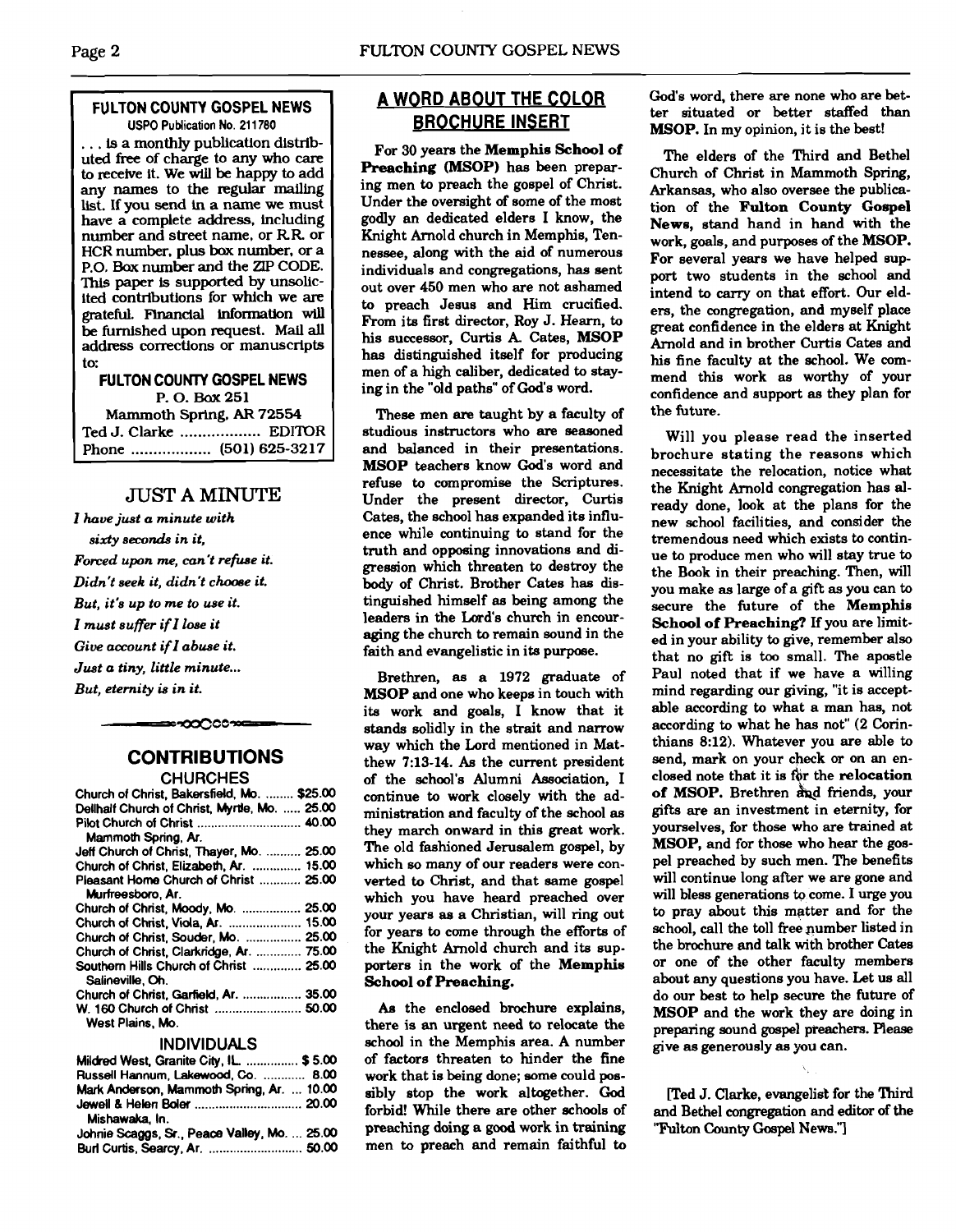# **FULTON COUNTY GOSPEL NEWS USPO Publication No. 21 1780**

... **is** a monthly publication distributed free of charge to any who **care**  to receive it. We will be happy to add any names to the regular mailing list. If you **send** in a name we must have a complete address, including number and street name, or RR or HCR number, plus bax number. or a P.O. Bax number and the ZIP CODE. **This** paper is supported by unsolicited contributions for which we are grateful. **Flnandal** information **wu**  be furnished upon request. Mail **all**  address corrections or manuscripts to:

**FULTON COUNTY GOSPEL NEWS** P. 0. **Bax <sup>251</sup>** Mammoth Spring. **AR 72554**  Ted **J.** Clarke .................. EDITOR

Phone .................. **(501) 625-32 17** 

# JUST **A** MINUTE

*I have just a minute with sixty seconds in it, Forced upon* **me,** *can't refuse it. Didn't seek it, didn't chome it. But, it's up to me to use it.*  **Z** *must suffer if* **Z** *lose it*  Give account if I abuse it. *Just a tiny, little minute* ... *But, eternity* **is** *in it.* 

# **CONTRIBUTIONS CHURCHES**

≈∽೦೦೦೦ಌ≔

| -----------                                   |  |
|-----------------------------------------------|--|
| Church of Christ, Bakersfield, Mo.  \$25.00   |  |
| Dellhalf Church of Christ, Myrtle, Mo.  25.00 |  |
|                                               |  |
| Mammoth Spring, Ar.                           |  |
| Jeff Church of Christ. Thayer, Mo.  25.00     |  |
| Church of Christ, Elizabeth, Ar.  15.00       |  |
| Pleasant Home Church of Christ  25.00         |  |
| Murfreesboro, Ar.                             |  |
| Church of Christ, Moody, Mo.  25.00           |  |
| Church of Christ, Viola, Ar.  15.00           |  |
| Church of Christ, Souder, Mo.  25.00          |  |
| Church of Christ, Clarkridge, Ar.  75.00      |  |
| Southern Hills Church of Christ  25.00        |  |
| Salineville, Oh.                              |  |
| Church of Christ, Garfield, Ar.  35.00        |  |
| W. 160 Church of Christ  50.00                |  |
| West Plains, Mo.                              |  |

#### **INDIVIDUALS**

| Mildred West, Granite City, IL.  \$5.00      |  |
|----------------------------------------------|--|
| Russell Hannum, Lakewood, Co.  8.00          |  |
| Mark Anderson, Mammoth Spring, Ar.  10.00    |  |
|                                              |  |
| Mishawaka, In.                               |  |
| Johnie Scaggs, Sr., Peace Valley, Mo.  25.00 |  |
|                                              |  |

# **A WORD ABOUT THE COLOR BROCHURE INSERT**

For **30** yeara the **Memphis School of Preaching (MSOP)** has been preparing men to preach the gospel of Christ. Under the oversight of some of the most godly an dedicated elders I know, the Knight Arnold church in Memphis, Tennessee, along with the aid of numerous individuals and congregations, **has** sent out over **450** men who are not ashamed to preach Jesus and Him crucified. From ita first director, Roy J. Hearn, to his successor, Curtis A. Cates, MSOP has distinguished itself for producing men of a high caliber, dedicated to staying in the "old paths" of God's word.

These men are taught by a faculty of studious instructors who are seasoned and balanced in their presentations. **MSOP** teachers know God's word and refuse to compromise the Scriptures. Under the present director, Curtis Cates, the school has expanded its influence while continuing to stand for the truth and opposing innovations and digression which threaten to destroy the body of Christ. Brother Cates has distinguished himself as being among the leaders in the Lord's church in encouraging the church to remain sound in the faith and evangelistic in its purpose.

Brethren, as a **1972** graduate of **MSOP** and one who keeps in touch with ita work and goals, I know that it stands solidly in the strait and narrow way which the Lord mentioned in Matthew **7:13-14. As** the current president of the school's Alumni Association, I continue to work closely with the administration and faculty of the school as they march onward in this great work. The old fashioned Jerusalem gospel, by which so many of our readers were converted to Christ, and that same gospel which you have heard preached over your years as a Christian, will ring out for years to come through the efforta of the Knight Arnold church and ita supporters in the work of the **Memphis School of Preaching.** 

**AB** the enclosed brochure explains, there is an urgent need **to** relocate the school in the Memphis area. A number of factors threaten to hinder the fine work that is being done; some could possibly stop the work altugether. **God**  forbid! While there are other schools of preaching doing a good work in training men to preach and remain faithful to God's word, there are none who are better situated or better staffed than **MSOP.** In my opinion, it is the best!

The elders of the Third and Bethel Church of Christ in Mammoth Spring, Arkansas, who also oversee the publication of the **Fulton County Gospel News,** stand hand in hand with the work, goals, and purposes of the **MSOP.**  For several years we have helped support two students in the school and intend to carry on that effort. Our elders, the congregation, and myself place great confidence in the elders at Knight Arnold and in brother Curtis Cates and his fine faculty at the school. We commend this work as worthy of your confidence and support as they plan for the future.

Will you please read the inserted brochure stating the reasons which necessitate the relocation, notice what the Knight Arnold congregation has already done, look at the plans for the new school facilities, and consider the tremendous need which exists to continue to produce men who will stay true to the Book in their preaching. Then, will you make as large of a gift as you can to secure the future of the **Memphis School of Preaching?** If you are limited in your ability to give, remember also that no gift is too small. The apostle Paul noted that if we have a willing mind regarding our giving, "it is acceptable according to what a man has, not according to what he has not" **(2** Corinthians **8:12).** Whatever you are able to send, mark on your check or on an enclosed note that it is 6r the **relocation of MSOP.** Brethren \$qd friends, your gifts are an investment in eternity, for yourselves, for those who are trained at **MSOP,** and for those who hear the gospel preached by such men. The benefits will continue long after we are gone and will bless generations to come. I urge you to pray about this matter and for the school, call the toll free pumber listed in the brochure and talk with brother Cates or one of the other faculty members about any questions you have. Let us all do our best to help secure the future of **MSOP** and the work they are doing in preparing sound gospel pteachers. Please give as generously as **you** can.

[Ted J. Clarke, evangelist for the Third and Bethel congregation and editor of the "Fulton County Gospel News."]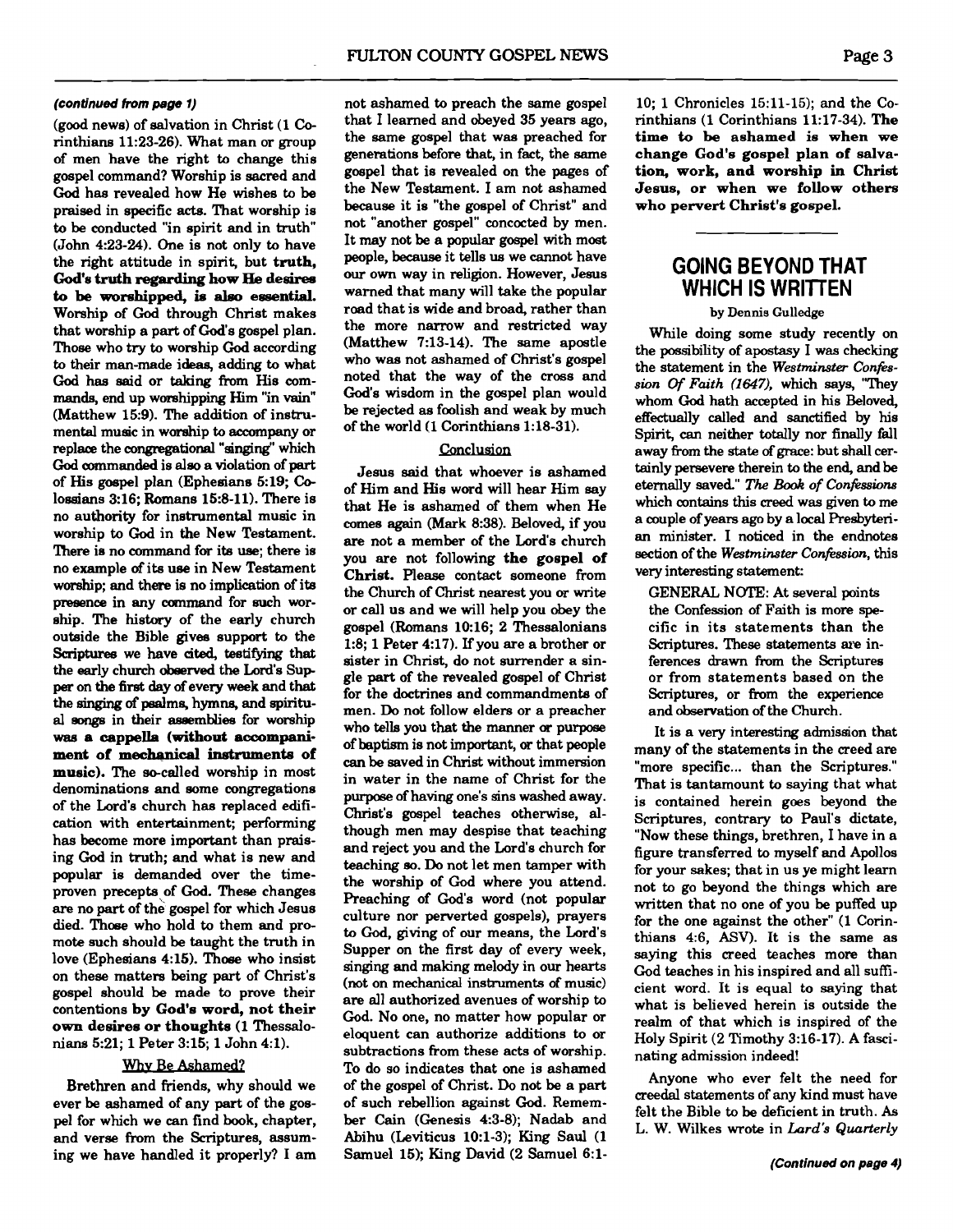#### **(continued from page 1)**

(good news) of salvation in Christ (1 **Co**rinthians 1123-26). What man or group of men have the right to change this gospel command? Worship is sacred and God has revealed how He wishes to be praised in specific acts. That worship is to be conducted "in spirit and in truth" (John 423-24). One is not only to have the right attitude in spirit, but **truth, God's truth regarding how He desires**   $\mathbf{t}$  **o** be worshipped, is also essential. Worship of **God** through Christ makes that worship a part of God's gospel plan. Those who **try** to worship **Cod** according to their man-made ideas, adding to what God has aaid or **taking** from His com**mands,** end up worshipping Him "in vain" (Matthew 15:9). The addition of instrumental music in worship to accompany or replace the congregational "singing" which God commanded is also a violation of part of His gospel plan (Ephesians 5:19; **Co**lossians 316; Romans 15:8-11). There is no authority for instrumental music in worship to **God** in the New Testament. There is no command for its use; there is no example **of** its use in New Testament worship; and there is no implication of its presence in any command for such worship. The history of the early church outside the Bible gives support to the Scriptures we have cited, testifying that the early church obeerved the Lord's Sup per on the **firat** day of every week and that the **singing of** psalms, hymns, and spiritual aonga in their assemblies for worship **was** a **cappella (without** accompani**ment of** mechanical **instruments of music).** The so-called worship in most denominations and some congregations of the Lord's church has replaced edification with entertainment; performing has become more important than praising God in truth; and what is new and popular is demanded over the timeproven precepts of **God.** These changes **are** no part of the gospel for which Jesus died. Those who hold to them and promote such should be taught the truth in love (Ephesians 4:15). Those who insist on these matters being part of Christ's gospel should be made to prove their contentions by **God's word, not their own desires or thoughts** (1 Thessalonians 5:21; 1 Peter 3:15; 1 John 4:l).

# Why Be Ashamed?

Brethren and friends, why should we ever be ashamed of any **part** of the gospel for which we can find book, chapter, and verse from the Scriptures, assuming we have handled it properly? I am not ashamed to preach the same gospel that I learned and obeyed 35 years ago, the same gospel that was preached for generations before that, in fact, the same gospel that is revealed on the pages of the New Testament. I am not ashamed because it is "the gospel of Christ" and not "another gospel" concocted by men. It may not be a popular gospel with most people, **because** it tells us we cannot have our own way in religion. However, Jesus warned that many will take the popular road that is wide and broad, rather than the more narrow and restricted way (Matthew 7:13-14). The same apostle who was not ashamed of Christ's gospel noted that the way of the cross and God's wisdom in the gospel plan would be rejected as foolish and weak by much of the world (1 Corinthians 1:18-31).

# Conclusion

Jesus said that whoever is ashamed of Him and His word will hear Him say that He is ashamed of them when He comes again (Mark 8:38). Beloved, if you **are** not a member of the Lord's church you are not following **the gospel of Christ.** Please contact someone from the Church of Christ nearest you or write or call us and we will help you obey the gospel (Romans 10:16; 2 Thessalonians 1:8; 1 Peter 4:17). If you are a brother or sister in Christ, do not surrender a single **part** of the revealed gospel of Christ for the doctrines and commandments of men. Do not follow elders or a preacher who tells you that the manner **or** purpose of baptism is not important, or that people **can** be saved in Christ without immersion in water in the name of Christ for the purpose of having one's sins washed away. Christ's gospel teaches otherwise, although men may despise that teaching and reject you and the Lord's church for teaching so. Do not let men tamper with the worship of God where you attend. Preaching of God's word (not popular culture nor perverted gospels), prayers to God, giving of our means, the Lord's Supper on the first day of every week, singing and making melody in our hearts (not on mechanical instruments of music) are all authorized avenues of worship to God. No one, no matter how popular or eloauent can authorize additions to or subtractions from these acts of worship. To do so indicates that one is ashamed of the gospel of Christ. Do not be a part of such rebellion against **God.** Remember Cain (Genesis 4:3-8); Nadab and Abihu (Leviticus 1O:l-3); King Saul (1 Samuel 15); King David (2 Samuel 6:l10; 1 Chronicles 15:ll-15); and the Corinthians (1 Corinthians 11:17-34). **The time to be ashamed** is **when we change God's gospel plan of** salva**tion, work, and worship in Christ Jesus, or when we follow others who pervert Christ's gospel.** 

# **GOING BEYOND THAT WHICH IS WRITTEN**

**by Dennis Gulledge** 

While doing some study recently on the possibility of apostasy I was checking the statement in the *Westminster Confisswn* **Of** *Faith* **(If347).** which says, "They whom God hath accepted in his Beloved, effectually called and sanctified by his Spirit, **can** neither totally nor finally fall away from the state of grace: but shall certainly persevere therein to the end, and be eternally saved" The **Book** *of Confissions*  which contains this creed was given to me a couple of years **ago** by a local Presbyterian minister. I noticed in the endnotes section of the Westminster Confession, this very interesting statement:

GENERAL NOTE: At several points the Confession of Faith is more **spe**cific in its statements than the Scriptures. These statements are inferences drawn from the Scriptures or from statements based on the Scriptures, or from the experience and observation of the Church.

It is a very interesting admission that many of the statements in the creed are "more specific... than the Scriptures." That is tantamount to saying that what is contained herein goes beyond the Scriptures, contrary to Paul's dictate, "Now these things, brethren, I have in a figure transferred to myself and Apollos for your sakes; that in us ye might learn not to go beyond the things which are written that no one of you be puffed up for the one against the other" (1 Corinthians 4:6, ASV). It is the same as saying this creed teaches more than God teaches in his inspired and all sufficient word. It is equal to saying that what is believed herein is outside the realm of that which is inspired of the Holy Spirit (2 Timothy 3:16-17). A fascinating admission indeed!

Anyone who ever felt the need for creedal statements of any kind must have felt the Bible to be deficient in truth. As L. W. Wilkes wrote in *Lard's Quarterly*